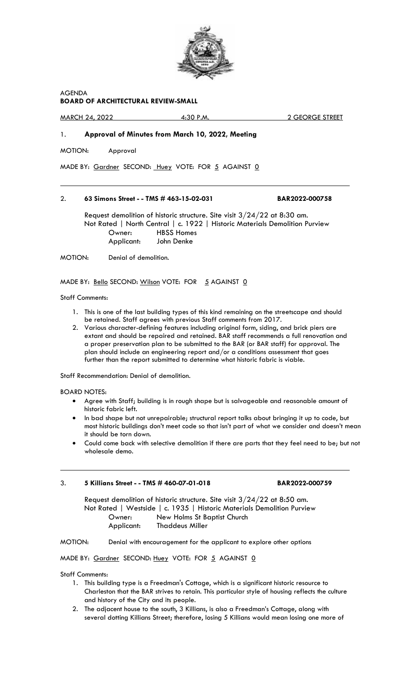

AGENDA **BOARD OF ARCHITECTURAL REVIEW-SMALL**

MARCH 24, 2022 4:30 P.M. 2 GEORGE STREET

# 1. **Approval of Minutes from March 10, 2022, Meeting**

MOTION: Approval

 $\overline{a}$ 

MADE BY: Gardner SECOND: Huey VOTE: FOR 5 AGAINST 0

# 2. **63 Simons Street - - TMS # 463-15-02-031 BAR2022-000758**

Request demolition of historic structure. Site visit 3/24/22 at 8:30 am. Not Rated | North Central | c. 1922 | Historic Materials Demolition Purview Owner: HBSS Homes<br>
Applicant: John Denke Applicant:

MOTION: Denial of demolition.

MADE BY: Bello SECOND: Wilson VOTE: FOR 5 AGAINST 0

# Staff Comments:

- 1. This is one of the last building types of this kind remaining on the streetscape and should be retained. Staff agrees with previous Staff comments from 2017.
- 2. Various character-defining features including original form, siding, and brick piers are extant and should be repaired and retained. BAR staff recommends a full renovation and a proper preservation plan to be submitted to the BAR (or BAR staff) for approval. The plan should include an engineering report and/or a conditions assessment that goes further than the report submitted to determine what historic fabric is viable.

Staff Recommendation: Denial of demolition.

BOARD NOTES:

 $\overline{a}$ 

- Agree with Staff; building is in rough shape but is salvageable and reasonable amount of historic fabric left.
- In bad shape but not unrepairable; structural report talks about bringing it up to code, but most historic buildings don't meet code so that isn't part of what we consider and doesn't mean it should be torn down.
- Could come back with selective demolition if there are parts that they feel need to be; but not wholesale demo.

### 3. **5 Killians Street - - TMS # 460-07-01-018 BAR2022-000759**

Request demolition of historic structure. Site visit 3/24/22 at 8:50 am. Not Rated | Westside | c. 1935 | Historic Materials Demolition Purview Owner: New Holms St Baptist Church Applicant: Thaddeus Miller

MOTION: Denial with encouragement for the applicant to explore other options

MADE BY: Gardner SECOND: Huey VOTE: FOR 5 AGAINST 0

Staff Comments:

- 1. This building type is a Freedman's Cottage, which is a significant historic resource to Charleston that the BAR strives to retain. This particular style of housing reflects the culture and history of the City and its people.
- 2. The adjacent house to the south, 3 Killians, is also a Freedman's Cottage, along with several dotting Killians Street; therefore, losing 5 Killians would mean losing one more of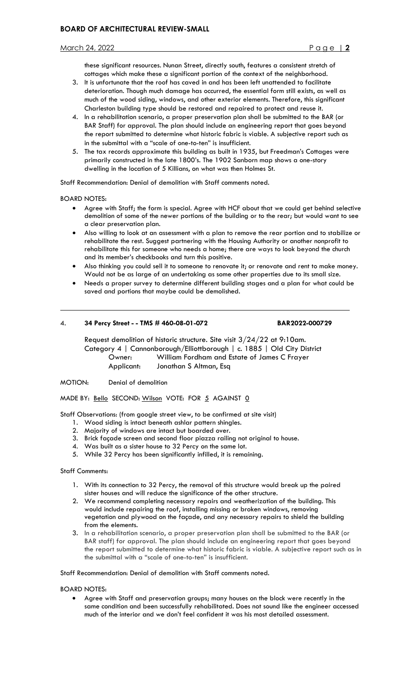# March 24, 2022 Page | **2**

these significant resources. Nunan Street, directly south, features a consistent stretch of cottages which make these a significant portion of the context of the neighborhood.

- 3. It is unfortunate that the roof has caved in and has been left unattended to facilitate deterioration. Though much damage has occurred, the essential form still exists, as well as much of the wood siding, windows, and other exterior elements. Therefore, this significant Charleston building type should be restored and repaired to protect and reuse it.
- 4. In a rehabilitation scenario, a proper preservation plan shall be submitted to the BAR (or BAR Staff) for approval. The plan should include an engineering report that goes beyond the report submitted to determine what historic fabric is viable. A subjective report such as in the submittal with a "scale of one-to-ten" is insufficient.
- 5. The tax records approximate this building as built in 1935, but Freedman's Cottages were primarily constructed in the late 1800's. The 1902 Sanborn map shows a one-story dwelling in the location of 5 Killians, on what was then Holmes St.

Staff Recommendation: Denial of demolition with Staff comments noted.

BOARD NOTES:

 $\overline{a}$ 

- Agree with Staff; the form is special. Agree with HCF about that we could get behind selective demolition of some of the newer portions of the building or to the rear; but would want to see a clear preservation plan.
- Also willing to look at an assessment with a plan to remove the rear portion and to stabilize or rehabilitate the rest. Suggest partnering with the Housing Authority or another nonprofit to rehabilitate this for someone who needs a home; there are ways to look beyond the church and its member's checkbooks and turn this positive.
- Also thinking you could sell it to someone to renovate it; or renovate and rent to make money. Would not be as large of an undertaking as some other properties due to its small size.
- Needs a proper survey to determine different building stages and a plan for what could be saved and portions that maybe could be demolished.

# 4. **34 Percy Street - - TMS # 460-08-01-072 BAR2022-000729**

Request demolition of historic structure. Site visit 3/24/22 at 9:10am. Category 4 | Cannonborough/Elliottborough | c. 1885 | Old City District Owner: William Fordham and Estate of James C Frayer Applicant: Jonathan S Altman, Esq

MOTION: Denial of demolition

MADE BY: Bello SECOND: Wilson VOTE: FOR 5 AGAINST 0

Staff Observations: (from google street view, to be confirmed at site visit)

- 1. Wood siding is intact beneath ashlar pattern shingles.
- 2. Majority of windows are intact but boarded over.
- 3. Brick façade screen and second floor piazza railing not original to house.
- 4. Was built as a sister house to 32 Percy on the same lot.
- 5. While 32 Percy has been significantly infilled, it is remaining.

### Staff Comments:

- 1. With its connection to 32 Percy, the removal of this structure would break up the paired sister houses and will reduce the significance of the other structure.
- 2. We recommend completing necessary repairs and weatherization of the building. This would include repairing the roof, installing missing or broken windows, removing vegetation and plywood on the façade, and any necessary repairs to shield the building from the elements.
- 3. In a rehabilitation scenario, a proper preservation plan shall be submitted to the BAR (or BAR staff) for approval. The plan should include an engineering report that goes beyond the report submitted to determine what historic fabric is viable. A subjective report such as in the submittal with a "scale of one-to-ten" is insufficient.

Staff Recommendation: Denial of demolition with Staff comments noted.

### BOARD NOTES:

• Agree with Staff and preservation groups; many houses on the block were recently in the same condition and been successfully rehabilitated. Does not sound like the engineer accessed much of the interior and we don't feel confident it was his most detailed assessment.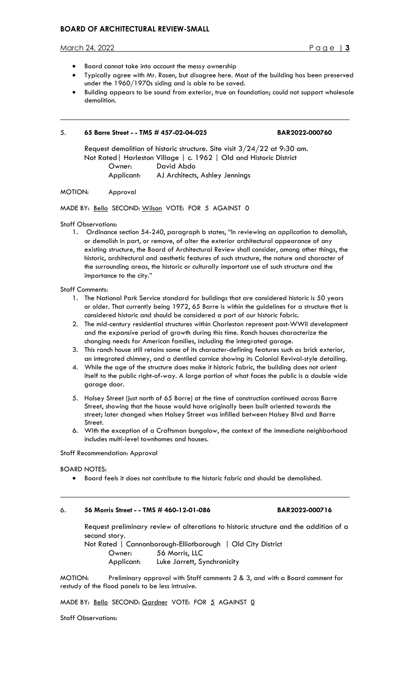# **BOARD OF ARCHITECTURAL REVIEW-SMALL**

#### March 24, 2022 Page | **3**

 $\overline{a}$ 

- Board cannot take into account the messy ownership
- Typically agree with Mr. Rosen, but disagree here. Most of the building has been preserved under the 1960/1970s siding and is able to be saved.
- Building appears to be sound from exterior, true on foundation; could not support wholesale demolition.

### 5. **65 Barre Street - - TMS # 457-02-04-025 BAR2022-000760**

Request demolition of historic structure. Site visit 3/24/22 at 9:30 am. Not Rated| Harleston Village | c. 1962 | Old and Historic District Owner: David Abdo

Applicant: AJ Architects, Ashley Jennings

# MOTION: Approval

MADE BY: Bello SECOND: Wilson VOTE: FOR 5 AGAINST 0

Staff Observations:

1. Ordinance section 54-240, paragraph b states, "In reviewing an application to demolish, or demolish in part, or remove, of alter the exterior architectural appearance of any existing structure, the Board of Architectural Review shall consider, among other things, the historic, architectural and aesthetic features of such structure, the nature and character of the surrounding areas, the historic or culturally important use of such structure and the importance to the city."

#### Staff Comments:

- 1. The National Park Service standard for buildings that are considered historic is 50 years or older. That currently being 1972, 65 Barre is within the guidelines for a structure that is considered historic and should be considered a part of our historic fabric.
- 2. The mid-century residential structures within Charleston represent post-WWII development and the expansive period of growth during this time. Ranch houses characterize the changing needs for American families, including the integrated garage.
- 3. This ranch house still retains some of its character-defining features such as brick exterior, an integrated chimney, and a dentiled cornice showing its Colonial Revival-style detailing.
- 4. While the age of the structure does make it historic fabric, the building does not orient itself to the public right-of-way. A large portion of what faces the public is a double wide garage door.
- 5. Halsey Street (just north of 65 Barre) at the time of construction continued across Barre Street, showing that the house would have originally been built oriented towards the street; later changed when Halsey Street was infilled between Halsey Blvd and Barre Street.
- 6. With the exception of a Craftsman bungalow, the context of the immediate neighborhood includes multi-level townhomes and houses.

Staff Recommendation: Approval

BOARD NOTES:

 $\overline{\phantom{a}}$ 

• Board feels it does not contribute to the historic fabric and should be demolished.

# 6. **56 Morris Street - - TMS # 460-12-01-086 BAR2022-000716**

Request preliminary review of alterations to historic structure and the addition of a second story. Not Rated | Cannonborough-Elliotborough | Old City District Owner: 56 Morris, LLC

Applicant: Luke Jarrett, Synchronicity

MOTION: Preliminary approval with Staff comments 2 & 3, and with a Board comment for restudy of the flood panels to be less intrusive.

MADE BY: Bello SECOND: Gardner VOTE: FOR 5 AGAINST 0

Staff Observations: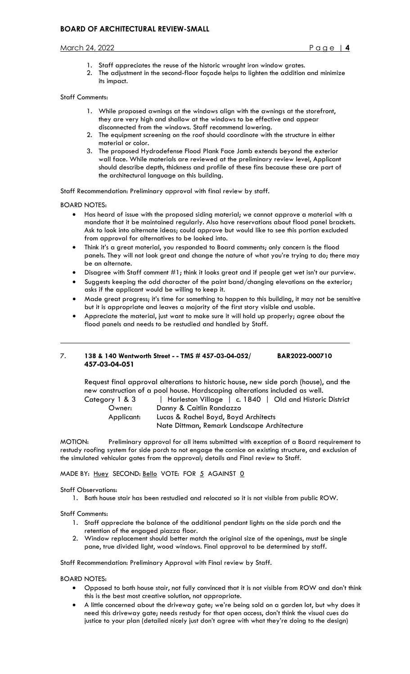# March 24, 2022 Page | **4**

- 1. Staff appreciates the reuse of the historic wrought iron window grates.
- 2. The adjustment in the second-floor façade helps to lighten the addition and minimize its impact.

# Staff Comments:

- 1. While proposed awnings at the windows align with the awnings at the storefront, they are very high and shallow at the windows to be effective and appear disconnected from the windows. Staff recommend lowering.
- 2. The equipment screening on the roof should coordinate with the structure in either material or color.
- 3. The proposed Hydrodefense Flood Plank Face Jamb extends beyond the exterior wall face. While materials are reviewed at the preliminary review level, Applicant should describe depth, thickness and profile of these fins because these are part of the architectural language on this building.

Staff Recommendation: Preliminary approval with final review by staff.

BOARD NOTES:

 $\overline{a}$ 

- Has heard of issue with the proposed siding material; we cannot approve a material with a mandate that it be maintained regularly. Also have reservations about flood panel brackets. Ask to look into alternate ideas; could approve but would like to see this portion excluded from approval for alternatives to be looked into.
- Think it's a great material, you responded to Board comments; only concern is the flood panels. They will not look great and change the nature of what you're trying to do; there may be an alternate.
- Disagree with Staff comment #1; think it looks great and if people get wet isn't our purview.
- Suggests keeping the odd character of the paint band/changing elevations on the exterior; asks if the applicant would be willing to keep it.
- Made great progress; it's time for something to happen to this building, it may not be sensitive but it is appropriate and leaves a majority of the first story visible and usable.
- Appreciate the material, just want to make sure it will hold up properly; agree about the flood panels and needs to be restudied and handled by Staff.

# 7. **138 & 140 Wentworth Street - - TMS # 457-03-04-052/ BAR2022-000710 457-03-04-051**

Request final approval alterations to historic house, new side porch (house), and the new construction of a pool house. Hardscaping alterations included as well.

Category 1 & 3 | Harleston Village | c. 1840 | Old and Historic District Owner: Danny & Caitlin Randazzo

 Applicant: Lucas & Rachel Boyd, Boyd Architects Nate Dittman, Remark Landscape Architecture

MOTION: Preliminary approval for all items submitted with exception of a Board requirement to restudy roofing system for side porch to not engage the cornice on existing structure, and exclusion of the simulated vehicular gates from the approval; details and Final review to Staff.

# MADE BY: Huey SECOND: Bello VOTE: FOR 5 AGAINST 0

Staff Observations:

1. Bath house stair has been restudied and relocated so it is not visible from public ROW.

Staff Comments:

- 1. Staff appreciate the balance of the additional pendant lights on the side porch and the retention of the engaged piazza floor.
- 2. Window replacement should better match the original size of the openings, must be single pane, true divided light, wood windows. Final approval to be determined by staff.

Staff Recommendation: Preliminary Approval with Final review by Staff.

BOARD NOTES:

- Opposed to bath house stair, not fully convinced that it is not visible from ROW and don't think this is the best most creative solution, not appropriate.
- A little concerned about the driveway gate; we're being sold on a garden lot, but why does it need this driveway gate; needs restudy for that open access, don't think the visual cues do justice to your plan (detailed nicely just don't agree with what they're doing to the design)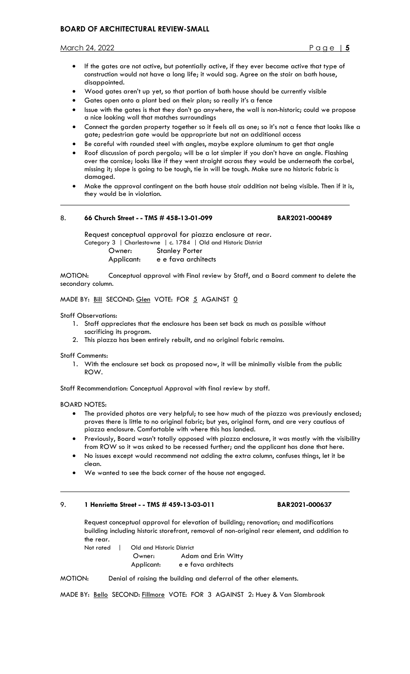# **BOARD OF ARCHITECTURAL REVIEW-SMALL**

March 24, 2022 Page | **5**

- If the gates are not active, but potentially active, if they ever became active that type of construction would not have a long life; it would sag. Agree on the stair on bath house, disappointed.
- Wood gates aren't up yet, so that portion of bath house should be currently visible
- Gates open onto a plant bed on their plan; so really it's a fence
- Issue with the gates is that they don't go anywhere, the wall is non-historic; could we propose a nice looking wall that matches surroundings
- Connect the garden property together so it feels all as one; so it's not a fence that looks like a gate; pedestrian gate would be appropriate but not an additional access
- Be careful with rounded steel with angles, maybe explore aluminum to get that angle
- Roof discussion of porch pergola; will be a lot simpler if you don't have an angle. Flashing over the cornice; looks like if they went straight across they would be underneath the corbel, missing it; slope is going to be tough, tie in will be tough. Make sure no historic fabric is damaged.
- Make the approval contingent on the bath house stair addition not being visible. Then if it is, they would be in violation.

# 8. **66 Church Street - - TMS # 458-13-01-099 BAR2021-000489**

Request conceptual approval for piazza enclosure at rear. Category 3 | Charlestowne | c. 1784 | Old and Historic District Owner: Stanley Porter Applicant: e e fava architects

MOTION: Conceptual approval with Final review by Staff, and a Board comment to delete the secondary column.

MADE BY: Bill SECOND: Glen VOTE: FOR 5 AGAINST 0

Staff Observations:

 $\overline{a}$ 

- 1. Staff appreciates that the enclosure has been set back as much as possible without sacrificing its program.
- 2. This piazza has been entirely rebuilt, and no original fabric remains.

Staff Comments:

1. With the enclosure set back as proposed now, it will be minimally visible from the public ROW.

Staff Recommendation: Conceptual Approval with final review by staff.

BOARD NOTES:

 $\overline{a}$ 

- The provided photos are very helpful; to see how much of the piazza was previously enclosed; proves there is little to no original fabric; but yes, original form, and are very cautious of piazza enclosure. Comfortable with where this has landed.
- Previously, Board wasn't totally opposed with piazza enclosure, it was mostly with the visibility from ROW so it was asked to be recessed further; and the applicant has done that here.
- No issues except would recommend not adding the extra column, confuses things, let it be clean.
- We wanted to see the back corner of the house not engaged.

# 9. **1 Henrietta Street - - TMS # 459-13-03-011 BAR2021-000637**

Request conceptual approval for elevation of building; renovation; and modifications building including historic storefront, removal of non-original rear element, and addition to the rear.

Not rated | Old and Historic District Owner: Adam and Erin Witty Applicant: e e fava architects

MOTION: Denial of raising the building and deferral of the other elements.

MADE BY: Bello SECOND: Fillmore VOTE: FOR 3 AGAINST 2: Huey & Van Slambrook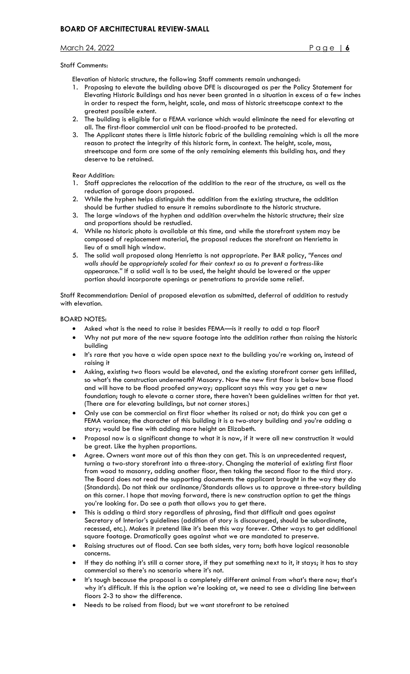# March 24, 2022 Page | **6**

# Staff Comments:

Elevation of historic structure, the following Staff comments remain unchanged:

- 1. Proposing to elevate the building above DFE is discouraged as per the Policy Statement for Elevating Historic Buildings and has never been granted in a situation in excess of a few inches in order to respect the form, height, scale, and mass of historic streetscape context to the greatest possible extent.
- 2. The building is eligible for a FEMA variance which would eliminate the need for elevating at all. The first-floor commercial unit can be flood-proofed to be protected.
- 3. The Applicant states there is little historic fabric of the building remaining which is all the more reason to protect the integrity of this historic form, in context. The height, scale, mass, streetscape and form are some of the only remaining elements this building has, and they deserve to be retained.

Rear Addition:

- 1. Staff appreciates the relocation of the addition to the rear of the structure, as well as the reduction of garage doors proposed.
- 2. While the hyphen helps distinguish the addition from the existing structure, the addition should be further studied to ensure it remains subordinate to the historic structure.
- 3. The large windows of the hyphen and addition overwhelm the historic structure; their size and proportions should be restudied.
- 4. While no historic photo is available at this time, and while the storefront system may be composed of replacement material, the proposal reduces the storefront on Henrietta in lieu of a small high window.
- 5. The solid wall proposed along Henrietta is not appropriate. Per BAR policy, *"Fences and walls should be appropriately scaled for their context so as to prevent a fortress-like appearance."* If a solid wall is to be used, the height should be lowered or the upper portion should incorporate openings or penetrations to provide some relief.

Staff Recommendation: Denial of proposed elevation as submitted, deferral of addition to restudy with elevation.

BOARD NOTES:

- Asked what is the need to raise it besides FEMA—is it really to add a top floor?
- Why not put more of the new square footage into the addition rather than raising the historic building
- It's rare that you have a wide open space next to the building you're working on, instead of raising it
- Asking, existing two floors would be elevated, and the existing storefront corner gets infilled, so what's the construction underneath? Masonry. Now the new first floor is below base flood and will have to be flood proofed anyway; applicant says this way you get a new foundation; tough to elevate a corner store, there haven't been guidelines written for that yet. (There are for elevating buildings, but not corner stores.)
- Only use can be commercial on first floor whether its raised or not; do think you can get a FEMA variance; the character of this building it is a two-story building and you're adding a story; would be fine with adding more height on Elizabeth.
- Proposal now is a significant change to what it is now, if it were all new construction it would be great. Like the hyphen proportions.
- Agree. Owners want more out of this than they can get. This is an unprecedented request, turning a two-story storefront into a three-story. Changing the material of existing first floor from wood to masonry, adding another floor, then taking the second floor to the third story. The Board does not read the supporting documents the applicant brought in the way they do (Standards). Do not think our ordinance/Standards allows us to approve a three-story building on this corner. I hope that moving forward, there is new construction option to get the things you're looking for. Do see a path that allows you to get there.
- This is adding a third story regardless of phrasing, find that difficult and goes against Secretary of Interior's guidelines (addition of story is discouraged, should be subordinate, recessed, etc.). Makes it pretend like it's been this way forever. Other ways to get additional square footage. Dramatically goes against what we are mandated to preserve.
- Raising structures out of flood. Can see both sides, very torn; both have logical reasonable concerns.
- If they do nothing it's still a corner store, if they put something next to it, it stays; it has to stay commercial so there's no scenario where it's not.
- It's tough because the proposal is a completely different animal from what's there now; that's why it's difficult. If this is the option we're looking at, we need to see a dividing line between floors 2-3 to show the difference.
- Needs to be raised from flood; but we want storefront to be retained